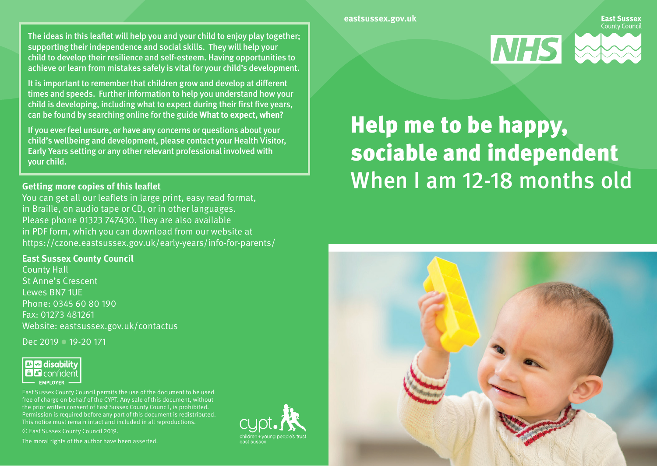#### **eastsussex.gov.uk**

The ideas in this leaflet will help you and your child to enjoy play together; supporting their independence and social skills. They will help your child to develop their resilience and self-esteem. Having opportunities to achieve or learn from mistakes safely is vital for your child's development.

It is important to remember that children grow and develop at different times and speeds. Further information to help you understand how your child is developing, including what to expect during their first five years, can be found by searching online for the guide **What to expect, when?**

If you ever feel unsure, or have any concerns or questions about your child's wellbeing and development, please contact your Health Visitor, Early Years setting or any other relevant professional involved with your child.

## **Getting more copies of this leaflet**

You can get all our leaflets in large print, easy read format, in Braille, on audio tape or CD, or in other languages. Please phone 01323 747430. They are also available in PDF form, which you can download from our website at https://czone.eastsussex.gov.uk/early-years/info-for-parents/

### **East Sussex County Council**

County Hall St Anne's Crescent Lewes BN7 1UE Phone: 0345 60 80 190 Fax: 01273 481261 Website: eastsussex.gov.uk/contactus

Dec 2019 **19-20 171** 



East Sussex County Council permits the use of the document to be used free of charge on behalf of the CYPT. Any sale of this document, without the prior written consent of East Sussex County Council, is prohibited. Permission is required before any part of this document is redistributed. This notice must remain intact and included in all reproductions. © East Sussex County Council 2019.

The moral rights of the author have been asserted.





# Help me to be happy, sociable and independent When I am 12-18 months old